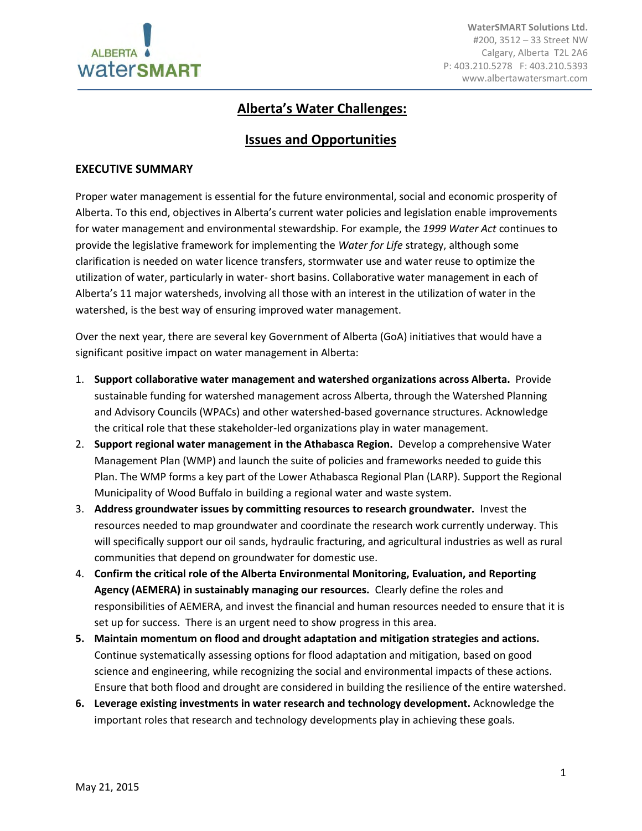

# **Alberta's Water Challenges:**

# **Issues and Opportunities**

#### **EXECUTIVE SUMMARY**

Proper water management is essential for the future environmental, social and economic prosperity of Alberta. To this end, objectives in Alberta's current water policies and legislation enable improvements for water management and environmental stewardship. For example, the *1999 Water Act* continues to provide the legislative framework for implementing the *Water for Life* strategy, although some clarification is needed on water licence transfers, stormwater use and water reuse to optimize the utilization of water, particularly in water- short basins. Collaborative water management in each of Alberta's 11 major watersheds, involving all those with an interest in the utilization of water in the watershed, is the best way of ensuring improved water management.

Over the next year, there are several key Government of Alberta (GoA) initiatives that would have a significant positive impact on water management in Alberta:

- 1. **Support collaborative water management and watershed organizations across Alberta.** Provide sustainable funding for watershed management across Alberta, through the Watershed Planning and Advisory Councils (WPACs) and other watershed-based governance structures. Acknowledge the critical role that these stakeholder-led organizations play in water management.
- 2. **Support regional water management in the Athabasca Region.** Develop a comprehensive Water Management Plan (WMP) and launch the suite of policies and frameworks needed to guide this Plan. The WMP forms a key part of the Lower Athabasca Regional Plan (LARP). Support the Regional Municipality of Wood Buffalo in building a regional water and waste system.
- 3. **Address groundwater issues by committing resources to research groundwater.** Invest the resources needed to map groundwater and coordinate the research work currently underway. This will specifically support our oil sands, hydraulic fracturing, and agricultural industries as well as rural communities that depend on groundwater for domestic use.
- 4. **Confirm the critical role of the Alberta Environmental Monitoring, Evaluation, and Reporting Agency (AEMERA) in sustainably managing our resources.** Clearly define the roles and responsibilities of AEMERA, and invest the financial and human resources needed to ensure that it is set up for success. There is an urgent need to show progress in this area.
- **5. Maintain momentum on flood and drought adaptation and mitigation strategies and actions.**  Continue systematically assessing options for flood adaptation and mitigation, based on good science and engineering, while recognizing the social and environmental impacts of these actions. Ensure that both flood and drought are considered in building the resilience of the entire watershed.
- **6. Leverage existing investments in water research and technology development.** Acknowledge the important roles that research and technology developments play in achieving these goals.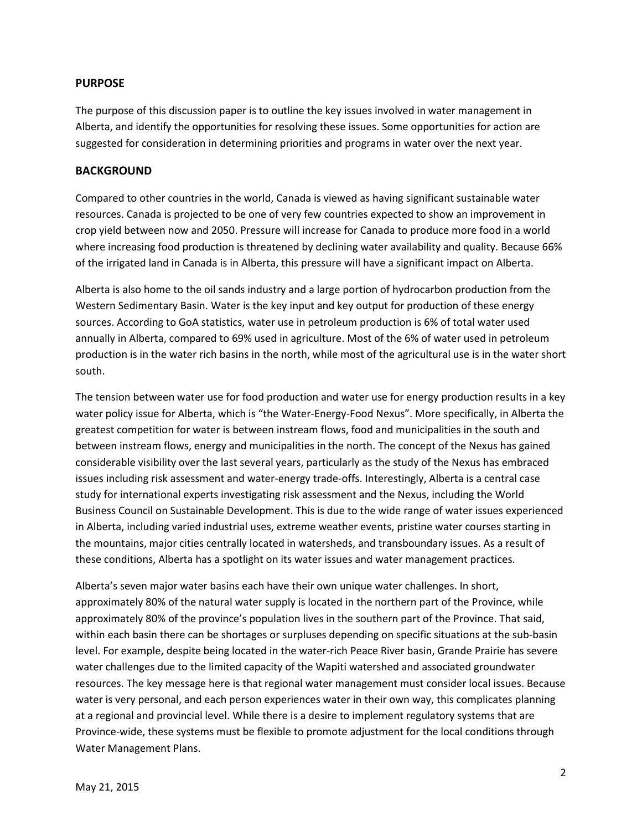#### **PURPOSE**

The purpose of this discussion paper is to outline the key issues involved in water management in Alberta, and identify the opportunities for resolving these issues. Some opportunities for action are suggested for consideration in determining priorities and programs in water over the next year.

#### **BACKGROUND**

Compared to other countries in the world, Canada is viewed as having significant sustainable water resources. Canada is projected to be one of very few countries expected to show an improvement in crop yield between now and 2050. Pressure will increase for Canada to produce more food in a world where increasing food production is threatened by declining water availability and quality. Because 66% of the irrigated land in Canada is in Alberta, this pressure will have a significant impact on Alberta.

Alberta is also home to the oil sands industry and a large portion of hydrocarbon production from the Western Sedimentary Basin. Water is the key input and key output for production of these energy sources. According to GoA statistics, water use in petroleum production is 6% of total water used annually in Alberta, compared to 69% used in agriculture. Most of the 6% of water used in petroleum production is in the water rich basins in the north, while most of the agricultural use is in the water short south.

The tension between water use for food production and water use for energy production results in a key water policy issue for Alberta, which is "the Water-Energy-Food Nexus". More specifically, in Alberta the greatest competition for water is between instream flows, food and municipalities in the south and between instream flows, energy and municipalities in the north. The concept of the Nexus has gained considerable visibility over the last several years, particularly as the study of the Nexus has embraced issues including risk assessment and water-energy trade-offs. Interestingly, Alberta is a central case study for international experts investigating risk assessment and the Nexus, including the World Business Council on Sustainable Development. This is due to the wide range of water issues experienced in Alberta, including varied industrial uses, extreme weather events, pristine water courses starting in the mountains, major cities centrally located in watersheds, and transboundary issues. As a result of these conditions, Alberta has a spotlight on its water issues and water management practices.

Alberta's seven major water basins each have their own unique water challenges. In short, approximately 80% of the natural water supply is located in the northern part of the Province, while approximately 80% of the province's population lives in the southern part of the Province. That said, within each basin there can be shortages or surpluses depending on specific situations at the sub-basin level. For example, despite being located in the water-rich Peace River basin, Grande Prairie has severe water challenges due to the limited capacity of the Wapiti watershed and associated groundwater resources. The key message here is that regional water management must consider local issues. Because water is very personal, and each person experiences water in their own way, this complicates planning at a regional and provincial level. While there is a desire to implement regulatory systems that are Province-wide, these systems must be flexible to promote adjustment for the local conditions through Water Management Plans.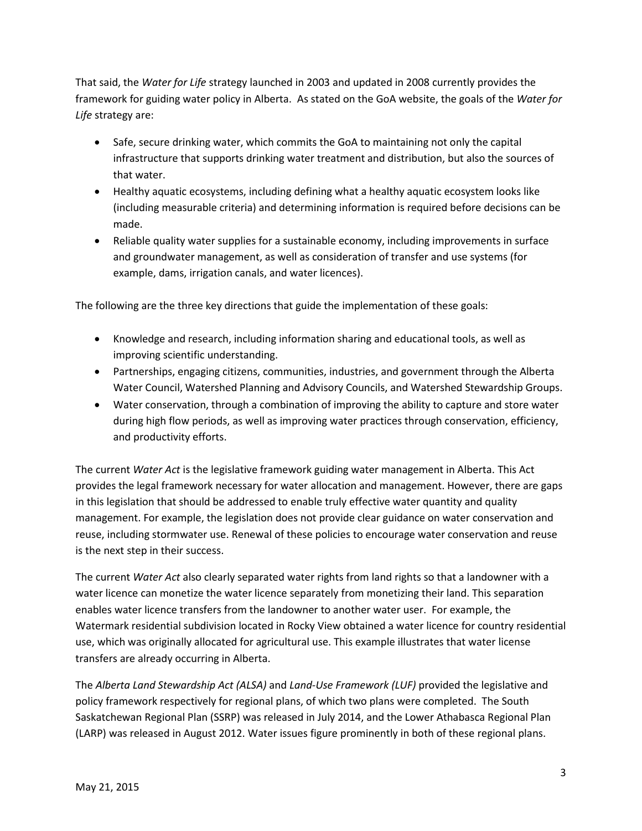That said, the *Water for Life* strategy launched in 2003 and updated in 2008 currently provides the framework for guiding water policy in Alberta. As stated on the GoA website, the goals of the *Water for Life* strategy are:

- Safe, secure drinking water, which commits the GoA to maintaining not only the capital infrastructure that supports drinking water treatment and distribution, but also the sources of that water.
- Healthy aquatic ecosystems, including defining what a healthy aquatic ecosystem looks like (including measurable criteria) and determining information is required before decisions can be made.
- Reliable quality water supplies for a sustainable economy, including improvements in surface and groundwater management, as well as consideration of transfer and use systems (for example, dams, irrigation canals, and water licences).

The following are the three key directions that guide the implementation of these goals:

- Knowledge and research, including information sharing and educational tools, as well as improving scientific understanding.
- Partnerships, engaging citizens, communities, industries, and government through the Alberta Water Council, Watershed Planning and Advisory Councils, and Watershed Stewardship Groups.
- Water conservation, through a combination of improving the ability to capture and store water during high flow periods, as well as improving water practices through conservation, efficiency, and productivity efforts.

The current *Water Act* is the legislative framework guiding water management in Alberta. This Act provides the legal framework necessary for water allocation and management. However, there are gaps in this legislation that should be addressed to enable truly effective water quantity and quality management. For example, the legislation does not provide clear guidance on water conservation and reuse, including stormwater use. Renewal of these policies to encourage water conservation and reuse is the next step in their success.

The current *Water Act* also clearly separated water rights from land rights so that a landowner with a water licence can monetize the water licence separately from monetizing their land. This separation enables water licence transfers from the landowner to another water user. For example, the Watermark residential subdivision located in Rocky View obtained a water licence for country residential use, which was originally allocated for agricultural use. This example illustrates that water license transfers are already occurring in Alberta.

The *Alberta Land Stewardship Act (ALSA)* and *Land-Use Framework (LUF)* provided the legislative and policy framework respectively for regional plans, of which two plans were completed. The South Saskatchewan Regional Plan (SSRP) was released in July 2014, and the Lower Athabasca Regional Plan (LARP) was released in August 2012. Water issues figure prominently in both of these regional plans.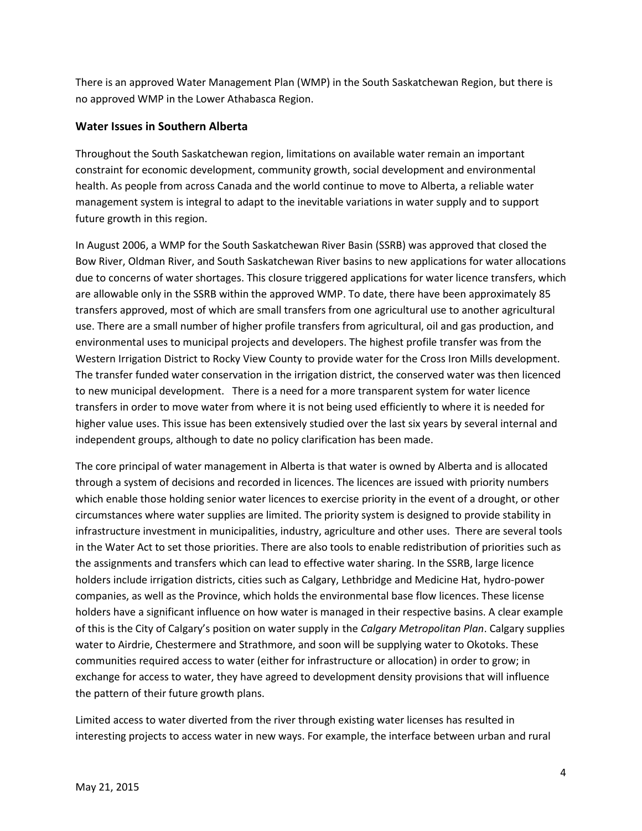There is an approved Water Management Plan (WMP) in the South Saskatchewan Region, but there is no approved WMP in the Lower Athabasca Region.

### **Water Issues in Southern Alberta**

Throughout the South Saskatchewan region, limitations on available water remain an important constraint for economic development, community growth, social development and environmental health. As people from across Canada and the world continue to move to Alberta, a reliable water management system is integral to adapt to the inevitable variations in water supply and to support future growth in this region.

In August 2006, a WMP for the South Saskatchewan River Basin (SSRB) was approved that closed the Bow River, Oldman River, and South Saskatchewan River basins to new applications for water allocations due to concerns of water shortages. This closure triggered applications for water licence transfers, which are allowable only in the SSRB within the approved WMP. To date, there have been approximately 85 transfers approved, most of which are small transfers from one agricultural use to another agricultural use. There are a small number of higher profile transfers from agricultural, oil and gas production, and environmental uses to municipal projects and developers. The highest profile transfer was from the Western Irrigation District to Rocky View County to provide water for the Cross Iron Mills development. The transfer funded water conservation in the irrigation district, the conserved water was then licenced to new municipal development. There is a need for a more transparent system for water licence transfers in order to move water from where it is not being used efficiently to where it is needed for higher value uses. This issue has been extensively studied over the last six years by several internal and independent groups, although to date no policy clarification has been made.

The core principal of water management in Alberta is that water is owned by Alberta and is allocated through a system of decisions and recorded in licences. The licences are issued with priority numbers which enable those holding senior water licences to exercise priority in the event of a drought, or other circumstances where water supplies are limited. The priority system is designed to provide stability in infrastructure investment in municipalities, industry, agriculture and other uses. There are several tools in the Water Act to set those priorities. There are also tools to enable redistribution of priorities such as the assignments and transfers which can lead to effective water sharing. In the SSRB, large licence holders include irrigation districts, cities such as Calgary, Lethbridge and Medicine Hat, hydro-power companies, as well as the Province, which holds the environmental base flow licences. These license holders have a significant influence on how water is managed in their respective basins. A clear example of this is the City of Calgary's position on water supply in the *Calgary Metropolitan Plan*. Calgary supplies water to Airdrie, Chestermere and Strathmore, and soon will be supplying water to Okotoks. These communities required access to water (either for infrastructure or allocation) in order to grow; in exchange for access to water, they have agreed to development density provisions that will influence the pattern of their future growth plans.

Limited access to water diverted from the river through existing water licenses has resulted in interesting projects to access water in new ways. For example, the interface between urban and rural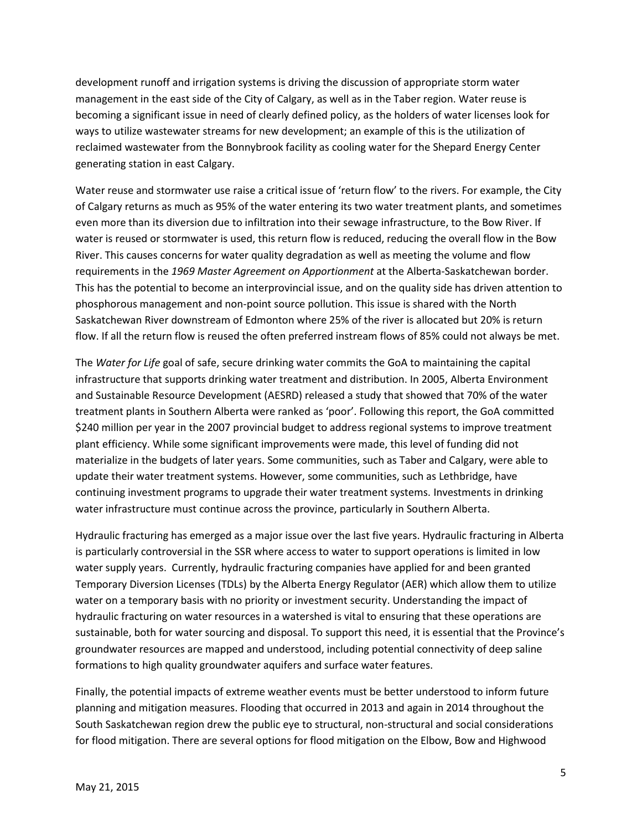development runoff and irrigation systems is driving the discussion of appropriate storm water management in the east side of the City of Calgary, as well as in the Taber region. Water reuse is becoming a significant issue in need of clearly defined policy, as the holders of water licenses look for ways to utilize wastewater streams for new development; an example of this is the utilization of reclaimed wastewater from the Bonnybrook facility as cooling water for the Shepard Energy Center generating station in east Calgary.

Water reuse and stormwater use raise a critical issue of 'return flow' to the rivers. For example, the City of Calgary returns as much as 95% of the water entering its two water treatment plants, and sometimes even more than its diversion due to infiltration into their sewage infrastructure, to the Bow River. If water is reused or stormwater is used, this return flow is reduced, reducing the overall flow in the Bow River. This causes concerns for water quality degradation as well as meeting the volume and flow requirements in the *1969 Master Agreement on Apportionment* at the Alberta-Saskatchewan border. This has the potential to become an interprovincial issue, and on the quality side has driven attention to phosphorous management and non-point source pollution. This issue is shared with the North Saskatchewan River downstream of Edmonton where 25% of the river is allocated but 20% is return flow. If all the return flow is reused the often preferred instream flows of 85% could not always be met.

The *Water for Life* goal of safe, secure drinking water commits the GoA to maintaining the capital infrastructure that supports drinking water treatment and distribution. In 2005, Alberta Environment and Sustainable Resource Development (AESRD) released a study that showed that 70% of the water treatment plants in Southern Alberta were ranked as 'poor'. Following this report, the GoA committed \$240 million per year in the 2007 provincial budget to address regional systems to improve treatment plant efficiency. While some significant improvements were made, this level of funding did not materialize in the budgets of later years. Some communities, such as Taber and Calgary, were able to update their water treatment systems. However, some communities, such as Lethbridge, have continuing investment programs to upgrade their water treatment systems. Investments in drinking water infrastructure must continue across the province, particularly in Southern Alberta.

Hydraulic fracturing has emerged as a major issue over the last five years. Hydraulic fracturing in Alberta is particularly controversial in the SSR where access to water to support operations is limited in low water supply years. Currently, hydraulic fracturing companies have applied for and been granted Temporary Diversion Licenses (TDLs) by the Alberta Energy Regulator (AER) which allow them to utilize water on a temporary basis with no priority or investment security. Understanding the impact of hydraulic fracturing on water resources in a watershed is vital to ensuring that these operations are sustainable, both for water sourcing and disposal. To support this need, it is essential that the Province's groundwater resources are mapped and understood, including potential connectivity of deep saline formations to high quality groundwater aquifers and surface water features.

Finally, the potential impacts of extreme weather events must be better understood to inform future planning and mitigation measures. Flooding that occurred in 2013 and again in 2014 throughout the South Saskatchewan region drew the public eye to structural, non-structural and social considerations for flood mitigation. There are several options for flood mitigation on the Elbow, Bow and Highwood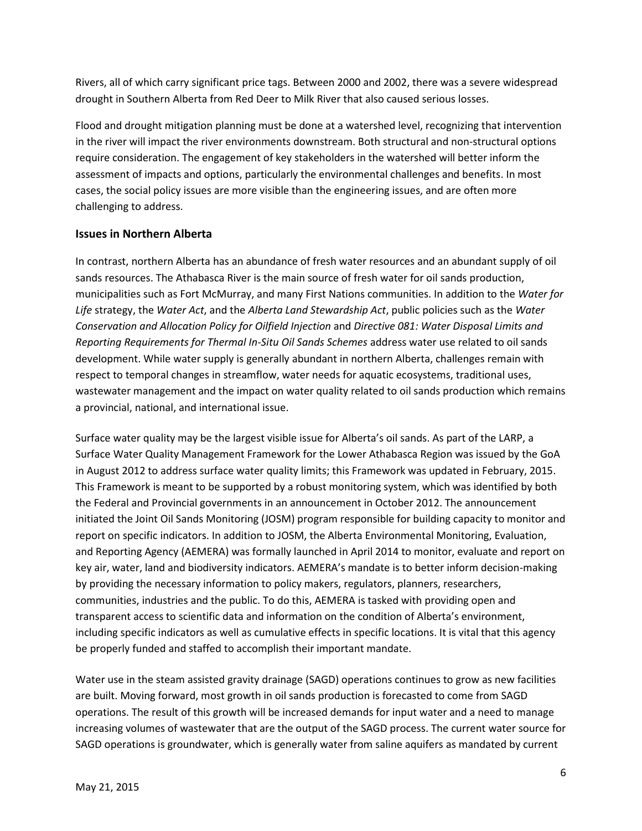Rivers, all of which carry significant price tags. Between 2000 and 2002, there was a severe widespread drought in Southern Alberta from Red Deer to Milk River that also caused serious losses.

Flood and drought mitigation planning must be done at a watershed level, recognizing that intervention in the river will impact the river environments downstream. Both structural and non-structural options require consideration. The engagement of key stakeholders in the watershed will better inform the assessment of impacts and options, particularly the environmental challenges and benefits. In most cases, the social policy issues are more visible than the engineering issues, and are often more challenging to address.

#### **Issues in Northern Alberta**

In contrast, northern Alberta has an abundance of fresh water resources and an abundant supply of oil sands resources. The Athabasca River is the main source of fresh water for oil sands production, municipalities such as Fort McMurray, and many First Nations communities. In addition to the *Water for Life* strategy, the *Water Act*, and the *Alberta Land Stewardship Act*, public policies such as the *Water Conservation and Allocation Policy for Oilfield Injection* and *Directive 081: Water Disposal Limits and Reporting Requirements for Thermal In-Situ Oil Sands Schemes* address water use related to oil sands development. While water supply is generally abundant in northern Alberta, challenges remain with respect to temporal changes in streamflow, water needs for aquatic ecosystems, traditional uses, wastewater management and the impact on water quality related to oil sands production which remains a provincial, national, and international issue.

Surface water quality may be the largest visible issue for Alberta's oil sands. As part of the LARP, a Surface Water Quality Management Framework for the Lower Athabasca Region was issued by the GoA in August 2012 to address surface water quality limits; this Framework was updated in February, 2015. This Framework is meant to be supported by a robust monitoring system, which was identified by both the Federal and Provincial governments in an announcement in October 2012. The announcement initiated the Joint Oil Sands Monitoring (JOSM) program responsible for building capacity to monitor and report on specific indicators. In addition to JOSM, the Alberta Environmental Monitoring, Evaluation, and Reporting Agency (AEMERA) was formally launched in April 2014 to monitor, evaluate and report on key air, water, land and biodiversity indicators. AEMERA's mandate is to better inform decision-making by providing the necessary information to policy makers, regulators, planners, researchers, communities, industries and the public. To do this, AEMERA is tasked with providing open and transparent access to scientific data and information on the condition of Alberta's environment, including specific indicators as well as cumulative effects in specific locations. It is vital that this agency be properly funded and staffed to accomplish their important mandate.

Water use in the steam assisted gravity drainage (SAGD) operations continues to grow as new facilities are built. Moving forward, most growth in oil sands production is forecasted to come from SAGD operations. The result of this growth will be increased demands for input water and a need to manage increasing volumes of wastewater that are the output of the SAGD process. The current water source for SAGD operations is groundwater, which is generally water from saline aquifers as mandated by current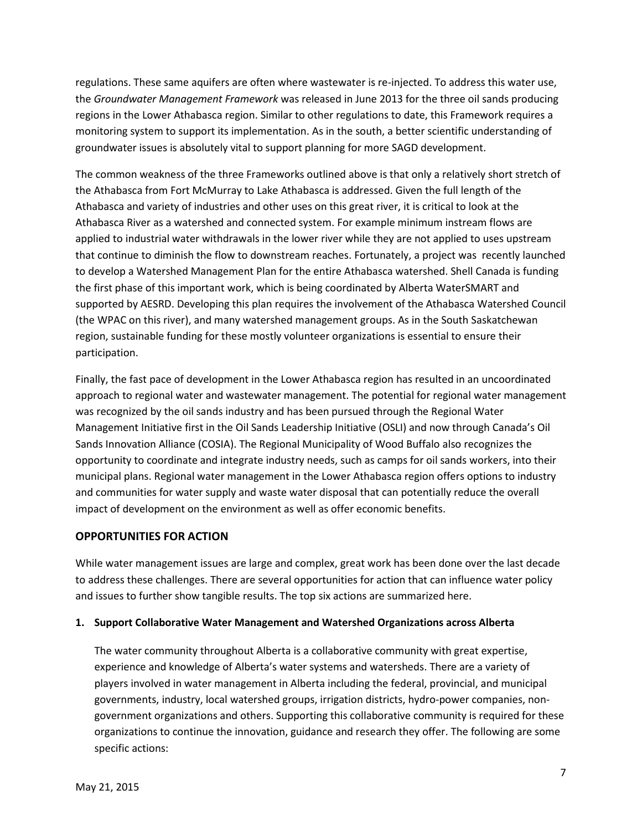regulations. These same aquifers are often where wastewater is re-injected. To address this water use, the *Groundwater Management Framework* was released in June 2013 for the three oil sands producing regions in the Lower Athabasca region. Similar to other regulations to date, this Framework requires a monitoring system to support its implementation. As in the south, a better scientific understanding of groundwater issues is absolutely vital to support planning for more SAGD development.

The common weakness of the three Frameworks outlined above is that only a relatively short stretch of the Athabasca from Fort McMurray to Lake Athabasca is addressed. Given the full length of the Athabasca and variety of industries and other uses on this great river, it is critical to look at the Athabasca River as a watershed and connected system. For example minimum instream flows are applied to industrial water withdrawals in the lower river while they are not applied to uses upstream that continue to diminish the flow to downstream reaches. Fortunately, a project was recently launched to develop a Watershed Management Plan for the entire Athabasca watershed. Shell Canada is funding the first phase of this important work, which is being coordinated by Alberta WaterSMART and supported by AESRD. Developing this plan requires the involvement of the Athabasca Watershed Council (the WPAC on this river), and many watershed management groups. As in the South Saskatchewan region, sustainable funding for these mostly volunteer organizations is essential to ensure their participation.

Finally, the fast pace of development in the Lower Athabasca region has resulted in an uncoordinated approach to regional water and wastewater management. The potential for regional water management was recognized by the oil sands industry and has been pursued through the Regional Water Management Initiative first in the Oil Sands Leadership Initiative (OSLI) and now through Canada's Oil Sands Innovation Alliance (COSIA). The Regional Municipality of Wood Buffalo also recognizes the opportunity to coordinate and integrate industry needs, such as camps for oil sands workers, into their municipal plans. Regional water management in the Lower Athabasca region offers options to industry and communities for water supply and waste water disposal that can potentially reduce the overall impact of development on the environment as well as offer economic benefits.

# **OPPORTUNITIES FOR ACTION**

While water management issues are large and complex, great work has been done over the last decade to address these challenges. There are several opportunities for action that can influence water policy and issues to further show tangible results. The top six actions are summarized here.

#### **1. Support Collaborative Water Management and Watershed Organizations across Alberta**

The water community throughout Alberta is a collaborative community with great expertise, experience and knowledge of Alberta's water systems and watersheds. There are a variety of players involved in water management in Alberta including the federal, provincial, and municipal governments, industry, local watershed groups, irrigation districts, hydro-power companies, nongovernment organizations and others. Supporting this collaborative community is required for these organizations to continue the innovation, guidance and research they offer. The following are some specific actions: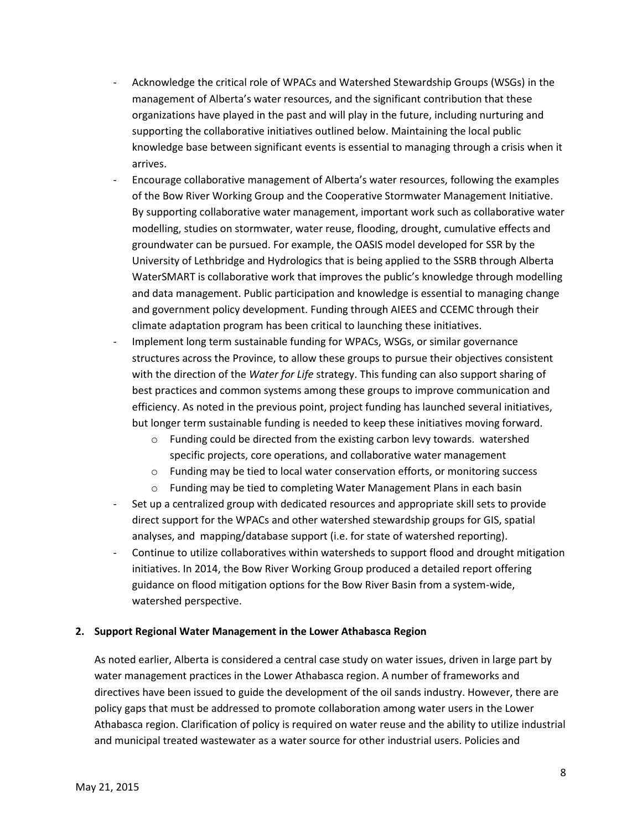- Acknowledge the critical role of WPACs and Watershed Stewardship Groups (WSGs) in the management of Alberta's water resources, and the significant contribution that these organizations have played in the past and will play in the future, including nurturing and supporting the collaborative initiatives outlined below. Maintaining the local public knowledge base between significant events is essential to managing through a crisis when it arrives.
- Encourage collaborative management of Alberta's water resources, following the examples of the Bow River Working Group and the Cooperative Stormwater Management Initiative. By supporting collaborative water management, important work such as collaborative water modelling, studies on stormwater, water reuse, flooding, drought, cumulative effects and groundwater can be pursued. For example, the OASIS model developed for SSR by the University of Lethbridge and Hydrologics that is being applied to the SSRB through Alberta WaterSMART is collaborative work that improves the public's knowledge through modelling and data management. Public participation and knowledge is essential to managing change and government policy development. Funding through AIEES and CCEMC through their climate adaptation program has been critical to launching these initiatives.
- Implement long term sustainable funding for WPACs, WSGs, or similar governance structures across the Province, to allow these groups to pursue their objectives consistent with the direction of the *Water for Life* strategy. This funding can also support sharing of best practices and common systems among these groups to improve communication and efficiency. As noted in the previous point, project funding has launched several initiatives, but longer term sustainable funding is needed to keep these initiatives moving forward.
	- $\circ$  Funding could be directed from the existing carbon levy towards. watershed specific projects, core operations, and collaborative water management
	- o Funding may be tied to local water conservation efforts, or monitoring success
	- $\circ$  Funding may be tied to completing Water Management Plans in each basin
- Set up a centralized group with dedicated resources and appropriate skill sets to provide direct support for the WPACs and other watershed stewardship groups for GIS, spatial analyses, and mapping/database support (i.e. for state of watershed reporting).
- Continue to utilize collaboratives within watersheds to support flood and drought mitigation initiatives. In 2014, the Bow River Working Group produced a detailed report offering guidance on flood mitigation options for the Bow River Basin from a system-wide, watershed perspective.

#### **2. Support Regional Water Management in the Lower Athabasca Region**

As noted earlier, Alberta is considered a central case study on water issues, driven in large part by water management practices in the Lower Athabasca region. A number of frameworks and directives have been issued to guide the development of the oil sands industry. However, there are policy gaps that must be addressed to promote collaboration among water users in the Lower Athabasca region. Clarification of policy is required on water reuse and the ability to utilize industrial and municipal treated wastewater as a water source for other industrial users. Policies and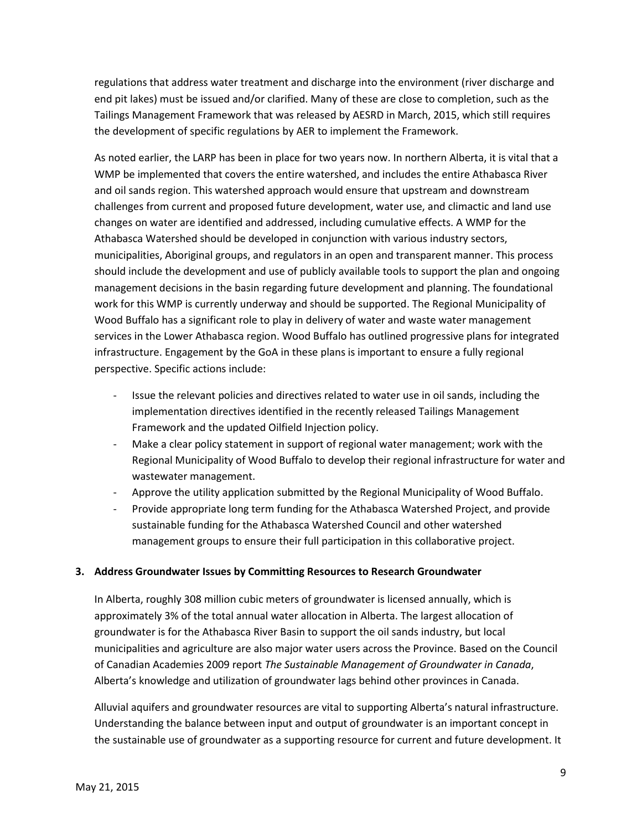regulations that address water treatment and discharge into the environment (river discharge and end pit lakes) must be issued and/or clarified. Many of these are close to completion, such as the Tailings Management Framework that was released by AESRD in March, 2015, which still requires the development of specific regulations by AER to implement the Framework.

As noted earlier, the LARP has been in place for two years now. In northern Alberta, it is vital that a WMP be implemented that covers the entire watershed, and includes the entire Athabasca River and oil sands region. This watershed approach would ensure that upstream and downstream challenges from current and proposed future development, water use, and climactic and land use changes on water are identified and addressed, including cumulative effects. A WMP for the Athabasca Watershed should be developed in conjunction with various industry sectors, municipalities, Aboriginal groups, and regulators in an open and transparent manner. This process should include the development and use of publicly available tools to support the plan and ongoing management decisions in the basin regarding future development and planning. The foundational work for this WMP is currently underway and should be supported. The Regional Municipality of Wood Buffalo has a significant role to play in delivery of water and waste water management services in the Lower Athabasca region. Wood Buffalo has outlined progressive plans for integrated infrastructure. Engagement by the GoA in these plans is important to ensure a fully regional perspective. Specific actions include:

- Issue the relevant policies and directives related to water use in oil sands, including the implementation directives identified in the recently released Tailings Management Framework and the updated Oilfield Injection policy.
- Make a clear policy statement in support of regional water management; work with the Regional Municipality of Wood Buffalo to develop their regional infrastructure for water and wastewater management.
- Approve the utility application submitted by the Regional Municipality of Wood Buffalo.
- Provide appropriate long term funding for the Athabasca Watershed Project, and provide sustainable funding for the Athabasca Watershed Council and other watershed management groups to ensure their full participation in this collaborative project.

#### **3. Address Groundwater Issues by Committing Resources to Research Groundwater**

In Alberta, roughly 308 million cubic meters of groundwater is licensed annually, which is approximately 3% of the total annual water allocation in Alberta. The largest allocation of groundwater is for the Athabasca River Basin to support the oil sands industry, but local municipalities and agriculture are also major water users across the Province. Based on the Council of Canadian Academies 2009 report *The Sustainable Management of Groundwater in Canada*, Alberta's knowledge and utilization of groundwater lags behind other provinces in Canada.

Alluvial aquifers and groundwater resources are vital to supporting Alberta's natural infrastructure. Understanding the balance between input and output of groundwater is an important concept in the sustainable use of groundwater as a supporting resource for current and future development. It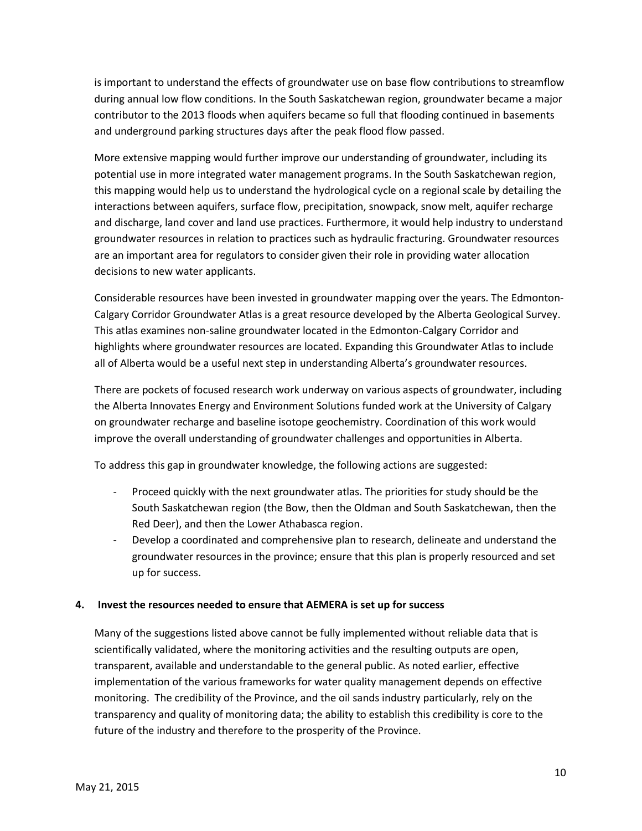is important to understand the effects of groundwater use on base flow contributions to streamflow during annual low flow conditions. In the South Saskatchewan region, groundwater became a major contributor to the 2013 floods when aquifers became so full that flooding continued in basements and underground parking structures days after the peak flood flow passed.

More extensive mapping would further improve our understanding of groundwater, including its potential use in more integrated water management programs. In the South Saskatchewan region, this mapping would help us to understand the hydrological cycle on a regional scale by detailing the interactions between aquifers, surface flow, precipitation, snowpack, snow melt, aquifer recharge and discharge, land cover and land use practices. Furthermore, it would help industry to understand groundwater resources in relation to practices such as hydraulic fracturing. Groundwater resources are an important area for regulators to consider given their role in providing water allocation decisions to new water applicants.

Considerable resources have been invested in groundwater mapping over the years. The Edmonton-Calgary Corridor Groundwater Atlas is a great resource developed by the Alberta Geological Survey. This atlas examines non-saline groundwater located in the Edmonton-Calgary Corridor and highlights where groundwater resources are located. Expanding this Groundwater Atlas to include all of Alberta would be a useful next step in understanding Alberta's groundwater resources.

There are pockets of focused research work underway on various aspects of groundwater, including the Alberta Innovates Energy and Environment Solutions funded work at the University of Calgary on groundwater recharge and baseline isotope geochemistry. Coordination of this work would improve the overall understanding of groundwater challenges and opportunities in Alberta.

To address this gap in groundwater knowledge, the following actions are suggested:

- Proceed quickly with the next groundwater atlas. The priorities for study should be the South Saskatchewan region (the Bow, then the Oldman and South Saskatchewan, then the Red Deer), and then the Lower Athabasca region.
- Develop a coordinated and comprehensive plan to research, delineate and understand the groundwater resources in the province; ensure that this plan is properly resourced and set up for success.

#### **4. Invest the resources needed to ensure that AEMERA is set up for success**

Many of the suggestions listed above cannot be fully implemented without reliable data that is scientifically validated, where the monitoring activities and the resulting outputs are open, transparent, available and understandable to the general public. As noted earlier, effective implementation of the various frameworks for water quality management depends on effective monitoring. The credibility of the Province, and the oil sands industry particularly, rely on the transparency and quality of monitoring data; the ability to establish this credibility is core to the future of the industry and therefore to the prosperity of the Province.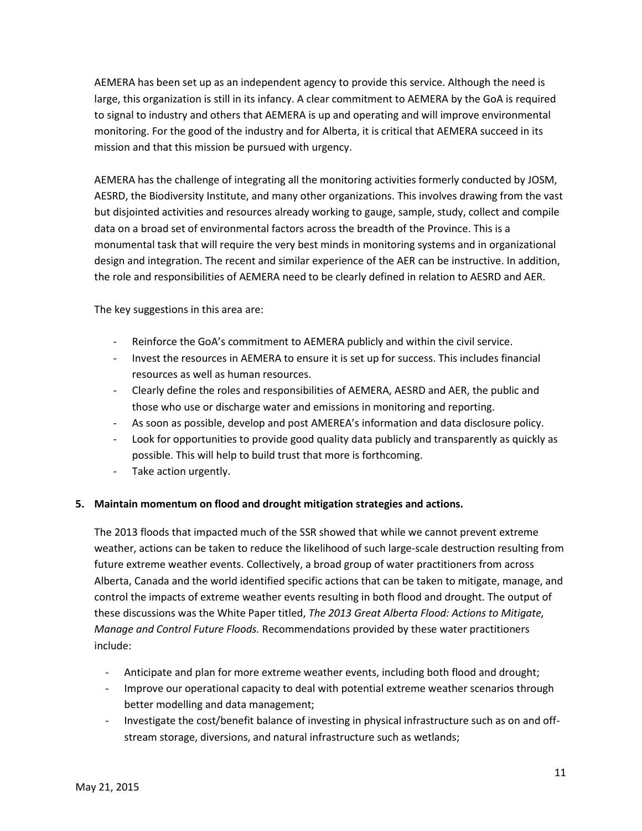AEMERA has been set up as an independent agency to provide this service. Although the need is large, this organization is still in its infancy. A clear commitment to AEMERA by the GoA is required to signal to industry and others that AEMERA is up and operating and will improve environmental monitoring. For the good of the industry and for Alberta, it is critical that AEMERA succeed in its mission and that this mission be pursued with urgency.

AEMERA has the challenge of integrating all the monitoring activities formerly conducted by JOSM, AESRD, the Biodiversity Institute, and many other organizations. This involves drawing from the vast but disjointed activities and resources already working to gauge, sample, study, collect and compile data on a broad set of environmental factors across the breadth of the Province. This is a monumental task that will require the very best minds in monitoring systems and in organizational design and integration. The recent and similar experience of the AER can be instructive. In addition, the role and responsibilities of AEMERA need to be clearly defined in relation to AESRD and AER.

The key suggestions in this area are:

- Reinforce the GoA's commitment to AEMERA publicly and within the civil service.
- Invest the resources in AEMERA to ensure it is set up for success. This includes financial resources as well as human resources.
- Clearly define the roles and responsibilities of AEMERA, AESRD and AER, the public and those who use or discharge water and emissions in monitoring and reporting.
- As soon as possible, develop and post AMEREA's information and data disclosure policy.
- Look for opportunities to provide good quality data publicly and transparently as quickly as possible. This will help to build trust that more is forthcoming.
- Take action urgently.

#### **5. Maintain momentum on flood and drought mitigation strategies and actions.**

The 2013 floods that impacted much of the SSR showed that while we cannot prevent extreme weather, actions can be taken to reduce the likelihood of such large-scale destruction resulting from future extreme weather events. Collectively, a broad group of water practitioners from across Alberta, Canada and the world identified specific actions that can be taken to mitigate, manage, and control the impacts of extreme weather events resulting in both flood and drought. The output of these discussions was the White Paper titled, *The 2013 Great Alberta Flood: Actions to Mitigate, Manage and Control Future Floods.* Recommendations provided by these water practitioners include:

- Anticipate and plan for more extreme weather events, including both flood and drought;
- Improve our operational capacity to deal with potential extreme weather scenarios through better modelling and data management;
- Investigate the cost/benefit balance of investing in physical infrastructure such as on and offstream storage, diversions, and natural infrastructure such as wetlands;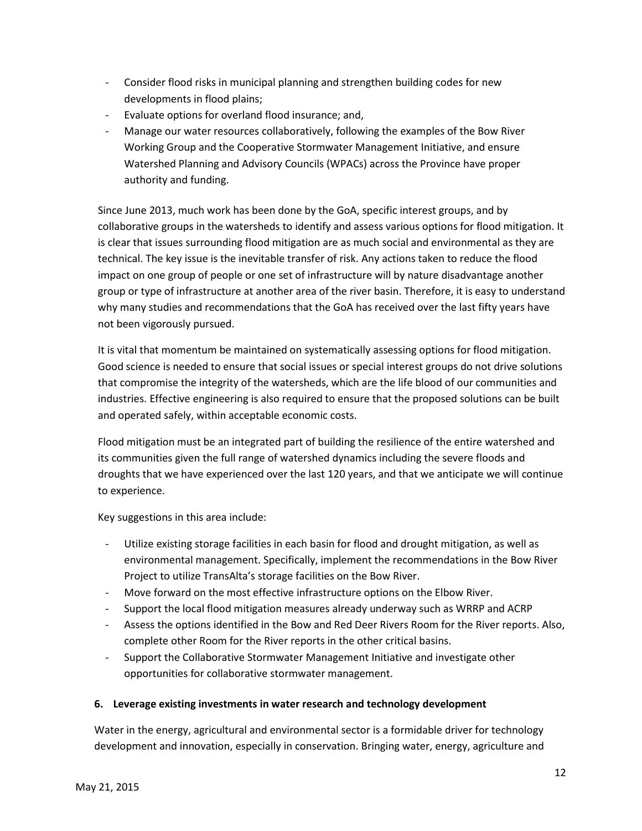- Consider flood risks in municipal planning and strengthen building codes for new developments in flood plains;
- Evaluate options for overland flood insurance; and,
- Manage our water resources collaboratively, following the examples of the Bow River Working Group and the Cooperative Stormwater Management Initiative, and ensure Watershed Planning and Advisory Councils (WPACs) across the Province have proper authority and funding.

Since June 2013, much work has been done by the GoA, specific interest groups, and by collaborative groups in the watersheds to identify and assess various options for flood mitigation. It is clear that issues surrounding flood mitigation are as much social and environmental as they are technical. The key issue is the inevitable transfer of risk. Any actions taken to reduce the flood impact on one group of people or one set of infrastructure will by nature disadvantage another group or type of infrastructure at another area of the river basin. Therefore, it is easy to understand why many studies and recommendations that the GoA has received over the last fifty years have not been vigorously pursued.

It is vital that momentum be maintained on systematically assessing options for flood mitigation. Good science is needed to ensure that social issues or special interest groups do not drive solutions that compromise the integrity of the watersheds, which are the life blood of our communities and industries. Effective engineering is also required to ensure that the proposed solutions can be built and operated safely, within acceptable economic costs.

Flood mitigation must be an integrated part of building the resilience of the entire watershed and its communities given the full range of watershed dynamics including the severe floods and droughts that we have experienced over the last 120 years, and that we anticipate we will continue to experience.

Key suggestions in this area include:

- Utilize existing storage facilities in each basin for flood and drought mitigation, as well as environmental management. Specifically, implement the recommendations in the Bow River Project to utilize TransAlta's storage facilities on the Bow River.
- Move forward on the most effective infrastructure options on the Elbow River.
- Support the local flood mitigation measures already underway such as WRRP and ACRP
- Assess the options identified in the Bow and Red Deer Rivers Room for the River reports. Also, complete other Room for the River reports in the other critical basins.
- Support the Collaborative Stormwater Management Initiative and investigate other opportunities for collaborative stormwater management.

# **6. Leverage existing investments in water research and technology development**

Water in the energy, agricultural and environmental sector is a formidable driver for technology development and innovation, especially in conservation. Bringing water, energy, agriculture and